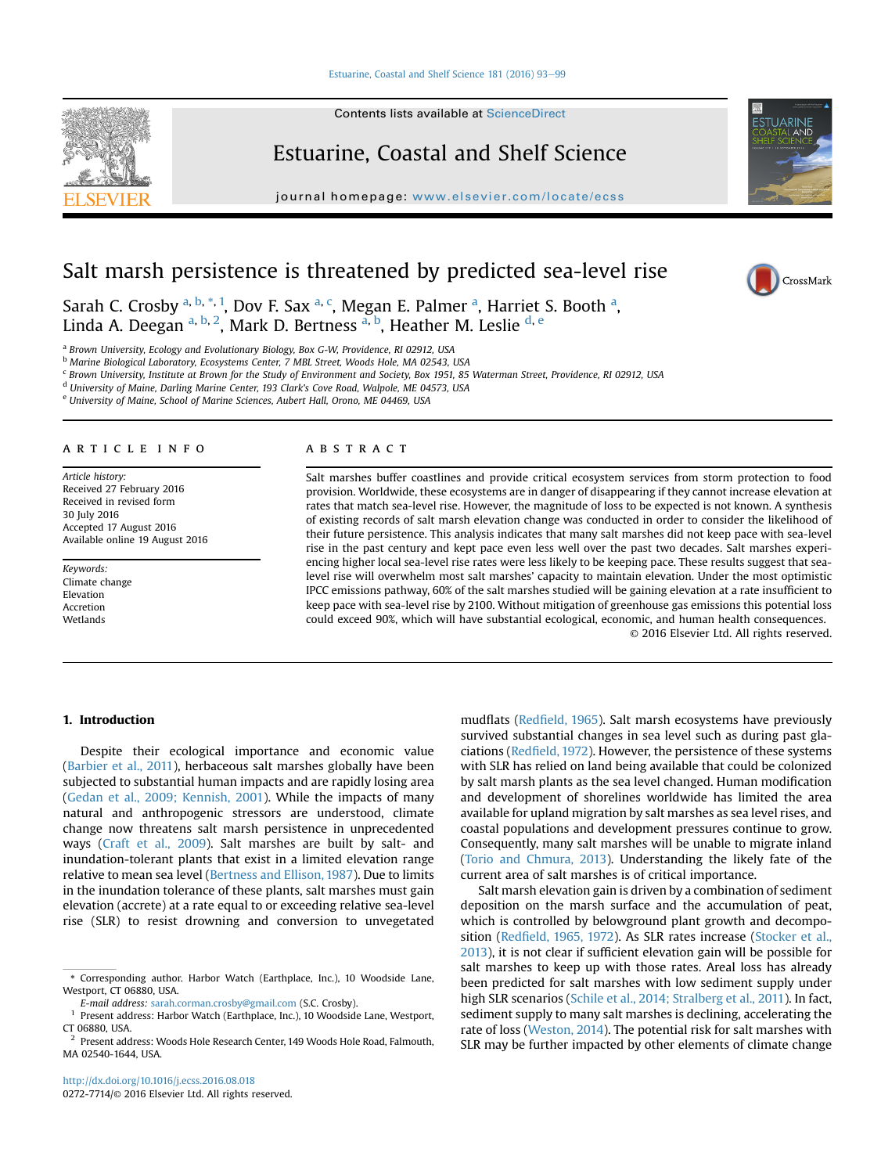### [Estuarine, Coastal and Shelf Science 181 \(2016\) 93](http://dx.doi.org/10.1016/j.ecss.2016.08.018)-[99](http://dx.doi.org/10.1016/j.ecss.2016.08.018)

Contents lists available at ScienceDirect

# Estuarine, Coastal and Shelf Science

journal homepage: [www.elsevier.com/locate/ecss](http://www.elsevier.com/locate/ecss)

# Salt marsh persistence is threatened by predicted sea-level rise

Sarah C. Crosby <sup>a, b, \*, 1</sup>, Dov F. Sax <sup>a, c</sup>, Megan E. Palmer <sup>a</sup>, Harriet S. Booth <sup>a</sup>, Linda A. Deegan <sup>a, b, 2</sup>, Mark D. Bertness <sup>a, b</sup>, Heather M. Leslie <sup>d, e</sup>

<sup>a</sup> Brown University, Ecology and Evolutionary Biology, Box G-W, Providence, RI 02912, USA

<sup>b</sup> Marine Biological Laboratory, Ecosystems Center, 7 MBL Street, Woods Hole, MA 02543, USA

<sup>c</sup> Brown University, Institute at Brown for the Study of Environment and Society, Box 1951, 85 Waterman Street, Providence, RI 02912, USA

<sup>d</sup> University of Maine, Darling Marine Center, 193 Clark's Cove Road, Walpole, ME 04573, USA

<sup>e</sup> University of Maine, School of Marine Sciences, Aubert Hall, Orono, ME 04469, USA

# article info

Article history: Received 27 February 2016 Received in revised form 30 July 2016 Accepted 17 August 2016 Available online 19 August 2016

Keywords: Climate change Elevation Accretion Wetlands

# **ABSTRACT**

Salt marshes buffer coastlines and provide critical ecosystem services from storm protection to food provision. Worldwide, these ecosystems are in danger of disappearing if they cannot increase elevation at rates that match sea-level rise. However, the magnitude of loss to be expected is not known. A synthesis of existing records of salt marsh elevation change was conducted in order to consider the likelihood of their future persistence. This analysis indicates that many salt marshes did not keep pace with sea-level rise in the past century and kept pace even less well over the past two decades. Salt marshes experiencing higher local sea-level rise rates were less likely to be keeping pace. These results suggest that sealevel rise will overwhelm most salt marshes' capacity to maintain elevation. Under the most optimistic IPCC emissions pathway, 60% of the salt marshes studied will be gaining elevation at a rate insufficient to keep pace with sea-level rise by 2100. Without mitigation of greenhouse gas emissions this potential loss could exceed 90%, which will have substantial ecological, economic, and human health consequences. © 2016 Elsevier Ltd. All rights reserved.

### 1. Introduction

Despite their ecological importance and economic value ([Barbier et al., 2011](#page-5-0)), herbaceous salt marshes globally have been subjected to substantial human impacts and are rapidly losing area ([Gedan et al., 2009; Kennish, 2001](#page-5-0)). While the impacts of many natural and anthropogenic stressors are understood, climate change now threatens salt marsh persistence in unprecedented ways ([Craft et al., 2009](#page-5-0)). Salt marshes are built by salt- and inundation-tolerant plants that exist in a limited elevation range relative to mean sea level ([Bertness and Ellison, 1987\)](#page-5-0). Due to limits in the inundation tolerance of these plants, salt marshes must gain elevation (accrete) at a rate equal to or exceeding relative sea-level rise (SLR) to resist drowning and conversion to unvegetated mudflats (Redfi[eld, 1965\)](#page-5-0). Salt marsh ecosystems have previously survived substantial changes in sea level such as during past glaciations (Redfi[eld, 1972\)](#page-5-0). However, the persistence of these systems with SLR has relied on land being available that could be colonized by salt marsh plants as the sea level changed. Human modification and development of shorelines worldwide has limited the area available for upland migration by salt marshes as sea level rises, and coastal populations and development pressures continue to grow. Consequently, many salt marshes will be unable to migrate inland ([Torio and Chmura, 2013](#page-6-0)). Understanding the likely fate of the current area of salt marshes is of critical importance.

Salt marsh elevation gain is driven by a combination of sediment deposition on the marsh surface and the accumulation of peat, which is controlled by belowground plant growth and decomposition (Redfi[eld, 1965, 1972](#page-5-0)). As SLR rates increase ([Stocker et al.,](#page-6-0) [2013\)](#page-6-0), it is not clear if sufficient elevation gain will be possible for salt marshes to keep up with those rates. Areal loss has already been predicted for salt marshes with low sediment supply under high SLR scenarios ([Schile et al., 2014; Stralberg et al., 2011](#page-6-0)). In fact, sediment supply to many salt marshes is declining, accelerating the rate of loss [\(Weston, 2014](#page-6-0)). The potential risk for salt marshes with SLR may be further impacted by other elements of climate change





<sup>\*</sup> Corresponding author. Harbor Watch (Earthplace, Inc.), 10 Woodside Lane, Westport, CT 06880, USA.

E-mail address: [sarah.corman.crosby@gmail.com](mailto:sarah.corman.crosby@gmail.com) (S.C. Crosby).

Present address: Harbor Watch (Earthplace, Inc.), 10 Woodside Lane, Westport, CT 06880, USA.

<sup>2</sup> Present address: Woods Hole Research Center, 149 Woods Hole Road, Falmouth, MA 02540-1644 USA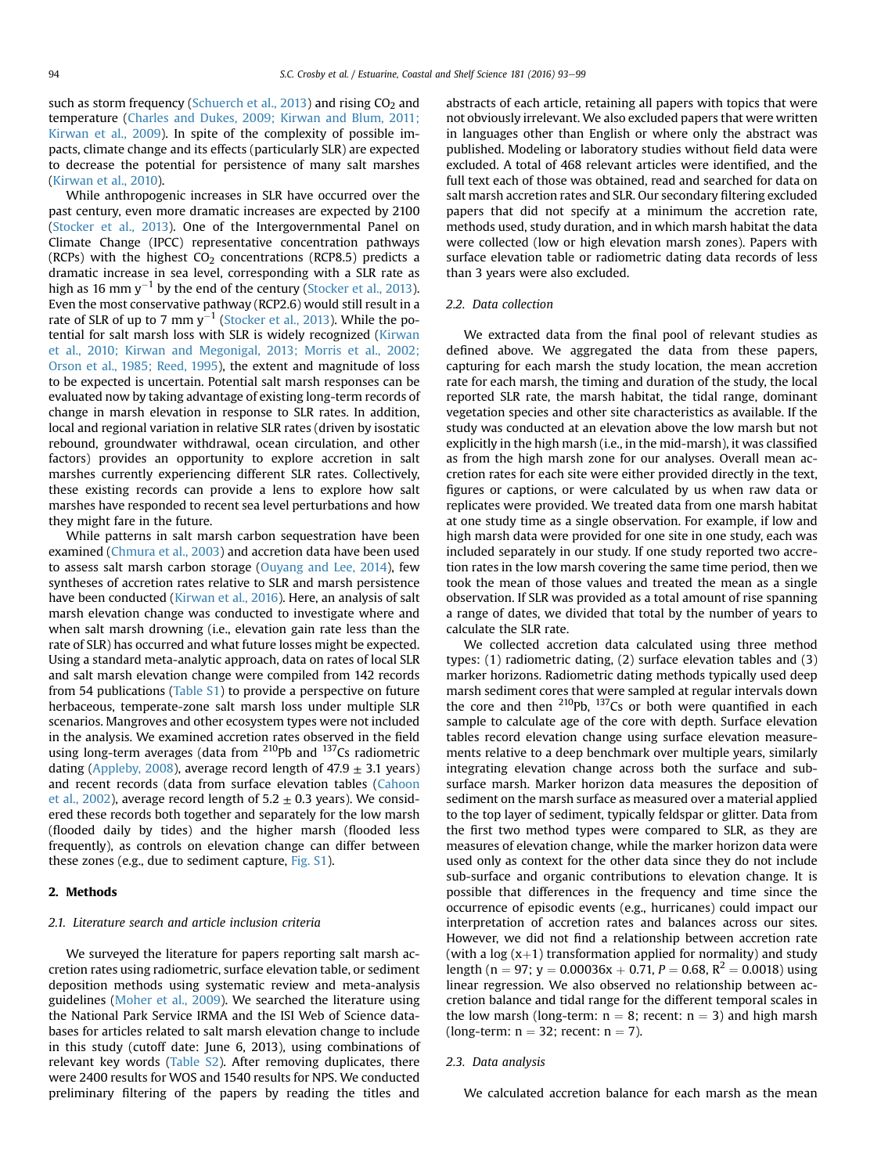such as storm frequency [\(Schuerch et al., 2013\)](#page-6-0) and rising  $CO<sub>2</sub>$  and temperature [\(Charles and Dukes, 2009; Kirwan and Blum, 2011;](#page-5-0) [Kirwan et al., 2009\)](#page-5-0). In spite of the complexity of possible impacts, climate change and its effects (particularly SLR) are expected to decrease the potential for persistence of many salt marshes ([Kirwan et al., 2010](#page-5-0)).

While anthropogenic increases in SLR have occurred over the past century, even more dramatic increases are expected by 2100 ([Stocker et al., 2013](#page-6-0)). One of the Intergovernmental Panel on Climate Change (IPCC) representative concentration pathways (RCPs) with the highest  $CO<sub>2</sub>$  concentrations (RCP8.5) predicts a dramatic increase in sea level, corresponding with a SLR rate as high as 16 mm  $y^{-1}$  by the end of the century [\(Stocker et al., 2013\)](#page-6-0). Even the most conservative pathway (RCP2.6) would still result in a rate of SLR of up to 7 mm  $y^{-1}$  ([Stocker et al., 2013](#page-6-0)). While the potential for salt marsh loss with SLR is widely recognized ([Kirwan](#page-5-0) [et al., 2010; Kirwan and Megonigal, 2013; Morris et al., 2002;](#page-5-0) [Orson et al., 1985; Reed, 1995](#page-5-0)), the extent and magnitude of loss to be expected is uncertain. Potential salt marsh responses can be evaluated now by taking advantage of existing long-term records of change in marsh elevation in response to SLR rates. In addition, local and regional variation in relative SLR rates (driven by isostatic rebound, groundwater withdrawal, ocean circulation, and other factors) provides an opportunity to explore accretion in salt marshes currently experiencing different SLR rates. Collectively, these existing records can provide a lens to explore how salt marshes have responded to recent sea level perturbations and how they might fare in the future.

While patterns in salt marsh carbon sequestration have been examined [\(Chmura et al., 2003\)](#page-5-0) and accretion data have been used to assess salt marsh carbon storage [\(Ouyang and Lee, 2014\)](#page-5-0), few syntheses of accretion rates relative to SLR and marsh persistence have been conducted [\(Kirwan et al., 2016](#page-5-0)). Here, an analysis of salt marsh elevation change was conducted to investigate where and when salt marsh drowning (i.e., elevation gain rate less than the rate of SLR) has occurred and what future losses might be expected. Using a standard meta-analytic approach, data on rates of local SLR and salt marsh elevation change were compiled from 142 records from 54 publications (Table S1) to provide a perspective on future herbaceous, temperate-zone salt marsh loss under multiple SLR scenarios. Mangroves and other ecosystem types were not included in the analysis. We examined accretion rates observed in the field using long-term averages (data from <sup>210</sup>Pb and <sup>137</sup>Cs radiometric dating ([Appleby, 2008](#page-5-0)), average record length of  $47.9 \pm 3.1$  years) and recent records (data from surface elevation tables [\(Cahoon](#page-5-0) [et al., 2002\)](#page-5-0), average record length of  $5.2 \pm 0.3$  years). We considered these records both together and separately for the low marsh (flooded daily by tides) and the higher marsh (flooded less frequently), as controls on elevation change can differ between these zones (e.g., due to sediment capture, Fig. S1).

# 2. Methods

# 2.1. Literature search and article inclusion criteria

We surveyed the literature for papers reporting salt marsh accretion rates using radiometric, surface elevation table, or sediment deposition methods using systematic review and meta-analysis guidelines ([Moher et al., 2009](#page-5-0)). We searched the literature using the National Park Service IRMA and the ISI Web of Science databases for articles related to salt marsh elevation change to include in this study (cutoff date: June 6, 2013), using combinations of relevant key words (Table S2). After removing duplicates, there were 2400 results for WOS and 1540 results for NPS. We conducted preliminary filtering of the papers by reading the titles and abstracts of each article, retaining all papers with topics that were not obviously irrelevant. We also excluded papers that were written in languages other than English or where only the abstract was published. Modeling or laboratory studies without field data were excluded. A total of 468 relevant articles were identified, and the full text each of those was obtained, read and searched for data on salt marsh accretion rates and SLR. Our secondary filtering excluded papers that did not specify at a minimum the accretion rate, methods used, study duration, and in which marsh habitat the data were collected (low or high elevation marsh zones). Papers with surface elevation table or radiometric dating data records of less than 3 years were also excluded.

#### 2.2. Data collection

We extracted data from the final pool of relevant studies as defined above. We aggregated the data from these papers, capturing for each marsh the study location, the mean accretion rate for each marsh, the timing and duration of the study, the local reported SLR rate, the marsh habitat, the tidal range, dominant vegetation species and other site characteristics as available. If the study was conducted at an elevation above the low marsh but not explicitly in the high marsh (i.e., in the mid-marsh), it was classified as from the high marsh zone for our analyses. Overall mean accretion rates for each site were either provided directly in the text, figures or captions, or were calculated by us when raw data or replicates were provided. We treated data from one marsh habitat at one study time as a single observation. For example, if low and high marsh data were provided for one site in one study, each was included separately in our study. If one study reported two accretion rates in the low marsh covering the same time period, then we took the mean of those values and treated the mean as a single observation. If SLR was provided as a total amount of rise spanning a range of dates, we divided that total by the number of years to calculate the SLR rate.

We collected accretion data calculated using three method types: (1) radiometric dating, (2) surface elevation tables and (3) marker horizons. Radiometric dating methods typically used deep marsh sediment cores that were sampled at regular intervals down the core and then  $^{210}$ Pb,  $^{137}$ Cs or both were quantified in each sample to calculate age of the core with depth. Surface elevation tables record elevation change using surface elevation measurements relative to a deep benchmark over multiple years, similarly integrating elevation change across both the surface and subsurface marsh. Marker horizon data measures the deposition of sediment on the marsh surface as measured over a material applied to the top layer of sediment, typically feldspar or glitter. Data from the first two method types were compared to SLR, as they are measures of elevation change, while the marker horizon data were used only as context for the other data since they do not include sub-surface and organic contributions to elevation change. It is possible that differences in the frequency and time since the occurrence of episodic events (e.g., hurricanes) could impact our interpretation of accretion rates and balances across our sites. However, we did not find a relationship between accretion rate (with a  $log(x+1)$  transformation applied for normality) and study length (n = 97; y = 0.00036x + 0.71, P = 0.68, R<sup>2</sup> = 0.0018) using linear regression. We also observed no relationship between accretion balance and tidal range for the different temporal scales in the low marsh (long-term:  $n = 8$ ; recent:  $n = 3$ ) and high marsh (long-term:  $n = 32$ ; recent:  $n = 7$ ).

## 2.3. Data analysis

We calculated accretion balance for each marsh as the mean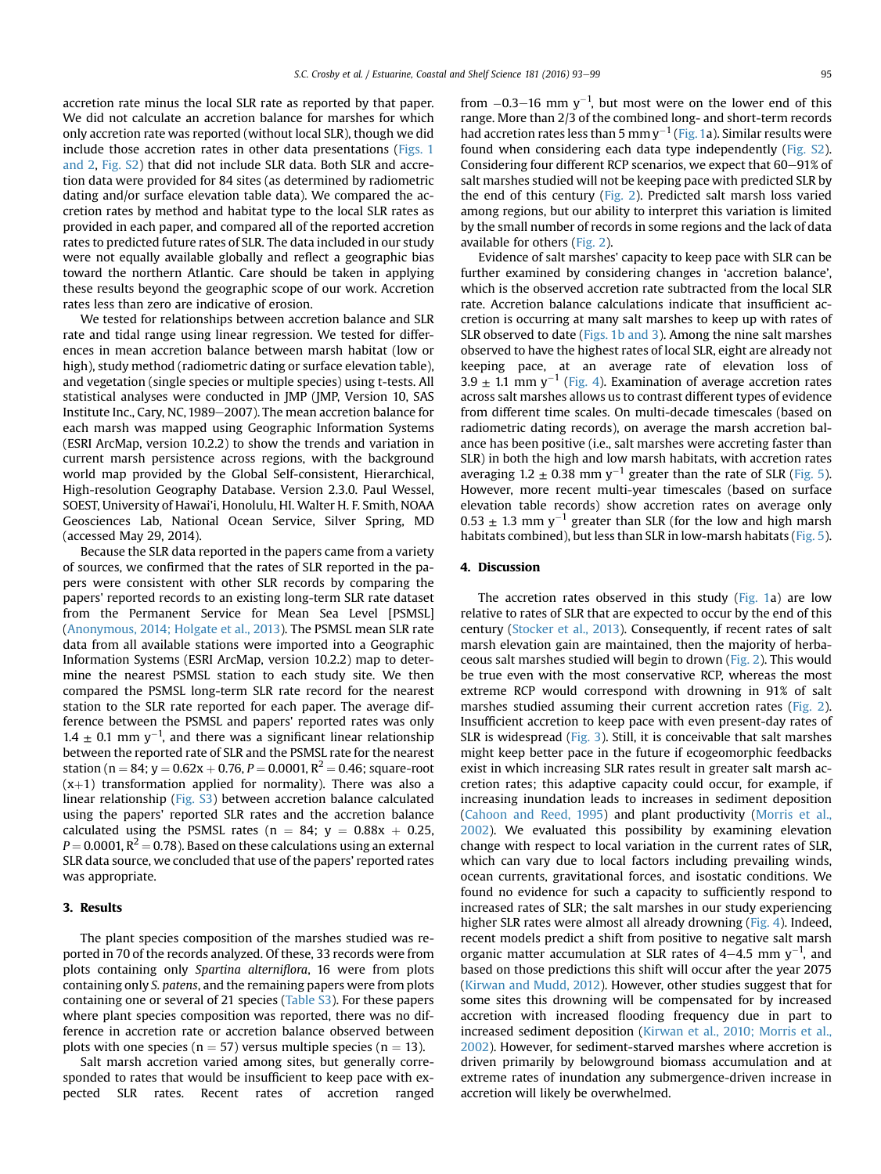accretion rate minus the local SLR rate as reported by that paper. We did not calculate an accretion balance for marshes for which only accretion rate was reported (without local SLR), though we did include those accretion rates in other data presentations [\(Figs. 1](#page-3-0) [and 2](#page-3-0), Fig. S2) that did not include SLR data. Both SLR and accretion data were provided for 84 sites (as determined by radiometric dating and/or surface elevation table data). We compared the accretion rates by method and habitat type to the local SLR rates as provided in each paper, and compared all of the reported accretion rates to predicted future rates of SLR. The data included in our study were not equally available globally and reflect a geographic bias toward the northern Atlantic. Care should be taken in applying these results beyond the geographic scope of our work. Accretion rates less than zero are indicative of erosion.

We tested for relationships between accretion balance and SLR rate and tidal range using linear regression. We tested for differences in mean accretion balance between marsh habitat (low or high), study method (radiometric dating or surface elevation table), and vegetation (single species or multiple species) using t-tests. All statistical analyses were conducted in JMP (JMP, Version 10, SAS Institute Inc., Cary, NC, 1989-2007). The mean accretion balance for each marsh was mapped using Geographic Information Systems (ESRI ArcMap, version 10.2.2) to show the trends and variation in current marsh persistence across regions, with the background world map provided by the Global Self-consistent, Hierarchical, High-resolution Geography Database. Version 2.3.0. Paul Wessel, SOEST, University of Hawai'i, Honolulu, HI. Walter H. F. Smith, NOAA Geosciences Lab, National Ocean Service, Silver Spring, MD (accessed May 29, 2014).

Because the SLR data reported in the papers came from a variety of sources, we confirmed that the rates of SLR reported in the papers were consistent with other SLR records by comparing the papers' reported records to an existing long-term SLR rate dataset from the Permanent Service for Mean Sea Level [PSMSL] ([Anonymous, 2014; Holgate et al., 2013\)](#page-5-0). The PSMSL mean SLR rate data from all available stations were imported into a Geographic Information Systems (ESRI ArcMap, version 10.2.2) map to determine the nearest PSMSL station to each study site. We then compared the PSMSL long-term SLR rate record for the nearest station to the SLR rate reported for each paper. The average difference between the PSMSL and papers' reported rates was only 1.4  $\pm$  0.1 mm y<sup>-1</sup>, and there was a significant linear relationship between the reported rate of SLR and the PSMSL rate for the nearest station (n = 84; y =  $0.62x + 0.76$ , P = 0.0001, R<sup>2</sup> = 0.46; square-root  $(x+1)$  transformation applied for normality). There was also a linear relationship (Fig. S3) between accretion balance calculated using the papers' reported SLR rates and the accretion balance calculated using the PSMSL rates ( $n = 84$ ;  $y = 0.88x + 0.25$ ,  $P = 0.0001$ ,  $R^2 = 0.78$ ). Based on these calculations using an external SLR data source, we concluded that use of the papers' reported rates was appropriate.

# 3. Results

The plant species composition of the marshes studied was reported in 70 of the records analyzed. Of these, 33 records were from plots containing only Spartina alterniflora, 16 were from plots containing only S. patens, and the remaining papers were from plots containing one or several of 21 species (Table S3). For these papers where plant species composition was reported, there was no difference in accretion rate or accretion balance observed between plots with one species ( $n = 57$ ) versus multiple species ( $n = 13$ ).

Salt marsh accretion varied among sites, but generally corresponded to rates that would be insufficient to keep pace with expected SLR rates. Recent rates of accretion ranged

from  $-0.3-16$  mm  $y^{-1}$ , but most were on the lower end of this range. More than 2/3 of the combined long- and short-term records had accretion rates less than 5 mm  $y^{-1}$  ([Fig. 1a](#page-3-0)). Similar results were found when considering each data type independently (Fig. S2). Considering four different RCP scenarios, we expect that 60-91% of salt marshes studied will not be keeping pace with predicted SLR by the end of this century ([Fig. 2\)](#page-3-0). Predicted salt marsh loss varied among regions, but our ability to interpret this variation is limited by the small number of records in some regions and the lack of data available for others ([Fig. 2\)](#page-3-0).

Evidence of salt marshes' capacity to keep pace with SLR can be further examined by considering changes in 'accretion balance', which is the observed accretion rate subtracted from the local SLR rate. Accretion balance calculations indicate that insufficient accretion is occurring at many salt marshes to keep up with rates of SLR observed to date ([Figs. 1b and 3\)](#page-3-0). Among the nine salt marshes observed to have the highest rates of local SLR, eight are already not keeping pace, at an average rate of elevation loss of  $3.9 \pm 1.1$  mm y<sup>-1</sup> ([Fig. 4](#page-5-0)). Examination of average accretion rates across salt marshes allows us to contrast different types of evidence from different time scales. On multi-decade timescales (based on radiometric dating records), on average the marsh accretion balance has been positive (i.e., salt marshes were accreting faster than SLR) in both the high and low marsh habitats, with accretion rates averaging 1.2  $\pm$  0.38 mm y<sup>-1</sup> greater than the rate of SLR [\(Fig. 5\)](#page-5-0). However, more recent multi-year timescales (based on surface elevation table records) show accretion rates on average only  $0.53 \pm 1.3$  mm y<sup>-1</sup> greater than SLR (for the low and high marsh habitats combined), but less than SLR in low-marsh habitats [\(Fig. 5\)](#page-5-0).

## 4. Discussion

The accretion rates observed in this study ([Fig. 1](#page-3-0)a) are low relative to rates of SLR that are expected to occur by the end of this century ([Stocker et al., 2013](#page-6-0)). Consequently, if recent rates of salt marsh elevation gain are maintained, then the majority of herbaceous salt marshes studied will begin to drown ([Fig. 2\)](#page-3-0). This would be true even with the most conservative RCP, whereas the most extreme RCP would correspond with drowning in 91% of salt marshes studied assuming their current accretion rates [\(Fig. 2\)](#page-3-0). Insufficient accretion to keep pace with even present-day rates of SLR is widespread [\(Fig. 3\)](#page-4-0). Still, it is conceivable that salt marshes might keep better pace in the future if ecogeomorphic feedbacks exist in which increasing SLR rates result in greater salt marsh accretion rates; this adaptive capacity could occur, for example, if increasing inundation leads to increases in sediment deposition ([Cahoon and Reed, 1995](#page-5-0)) and plant productivity [\(Morris et al.,](#page-5-0) [2002\)](#page-5-0). We evaluated this possibility by examining elevation change with respect to local variation in the current rates of SLR, which can vary due to local factors including prevailing winds, ocean currents, gravitational forces, and isostatic conditions. We found no evidence for such a capacity to sufficiently respond to increased rates of SLR; the salt marshes in our study experiencing higher SLR rates were almost all already drowning ([Fig. 4](#page-5-0)). Indeed, recent models predict a shift from positive to negative salt marsh organic matter accumulation at SLR rates of  $4-4.5$  mm  $y^{-1}$ , and based on those predictions this shift will occur after the year 2075 ([Kirwan and Mudd, 2012\)](#page-5-0). However, other studies suggest that for some sites this drowning will be compensated for by increased accretion with increased flooding frequency due in part to increased sediment deposition ([Kirwan et al., 2010; Morris et al.,](#page-5-0) [2002\)](#page-5-0). However, for sediment-starved marshes where accretion is driven primarily by belowground biomass accumulation and at extreme rates of inundation any submergence-driven increase in accretion will likely be overwhelmed.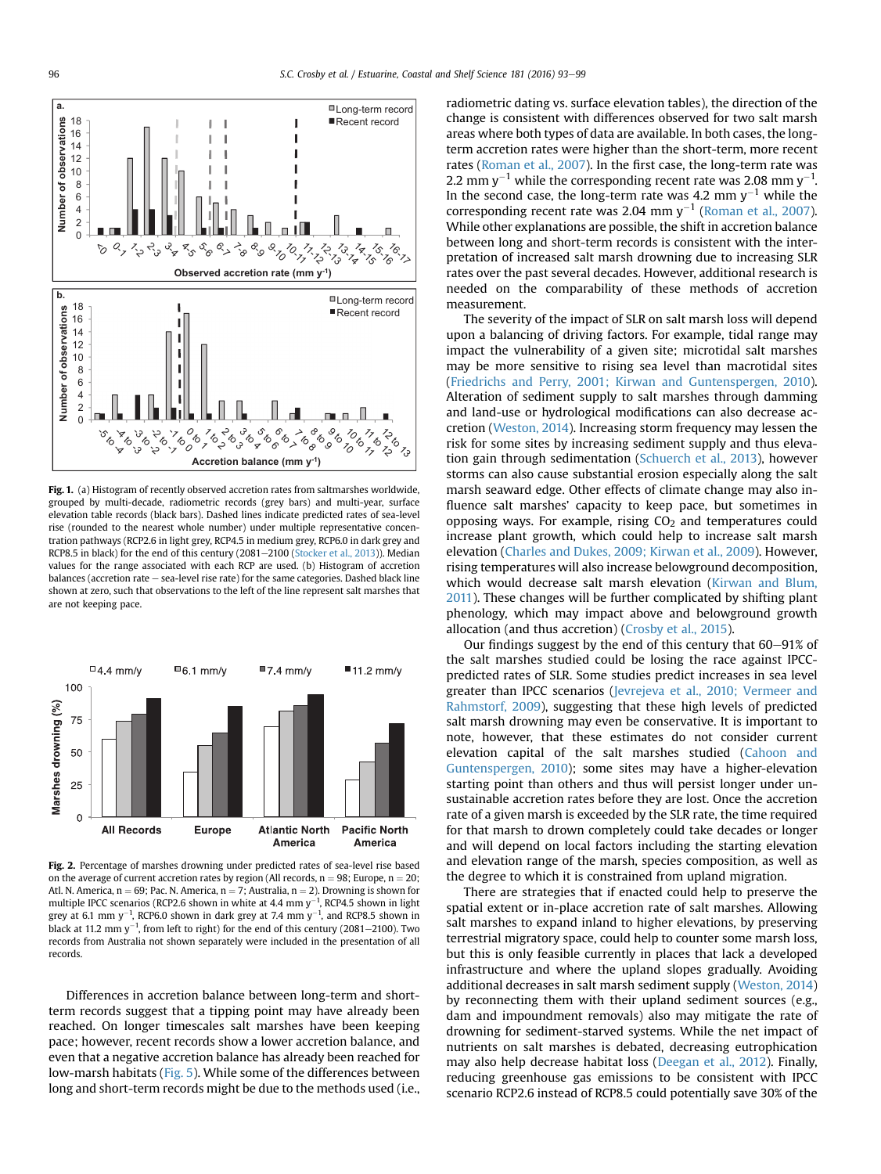<span id="page-3-0"></span>

Fig. 1. (a) Histogram of recently observed accretion rates from saltmarshes worldwide, grouped by multi-decade, radiometric records (grey bars) and multi-year, surface elevation table records (black bars). Dashed lines indicate predicted rates of sea-level rise (rounded to the nearest whole number) under multiple representative concentration pathways (RCP2.6 in light grey, RCP4.5 in medium grey, RCP6.0 in dark grey and RCP8.5 in black) for the end of this century  $(2081-2100)$  ([Stocker et al., 2013\)](#page-6-0)). Median values for the range associated with each RCP are used. (b) Histogram of accretion balances (accretion rate - sea-level rise rate) for the same categories. Dashed black line shown at zero, such that observations to the left of the line represent salt marshes that are not keeping pace.



Fig. 2. Percentage of marshes drowning under predicted rates of sea-level rise based on the average of current accretion rates by region (All records,  $n = 98$ ; Europe,  $n = 20$ ; Atl. N. America,  $n = 69$ ; Pac. N. America,  $n = 7$ ; Australia,  $n = 2$ ). Drowning is shown for multiple IPCC scenarios (RCP2.6 shown in white at 4.4 mm  $y^{-1}$ , RCP4.5 shown in light grey at 6.1 mm y<sup>-1</sup>, RCP6.0 shown in dark grey at 7.4 mm y<sup>-1</sup>, and RCP8.5 shown in black at 11.2 mm y<sup>-1</sup>, from left to right) for the end of this century (2081–2100). Two records from Australia not shown separately were included in the presentation of all records.

Differences in accretion balance between long-term and shortterm records suggest that a tipping point may have already been reached. On longer timescales salt marshes have been keeping pace; however, recent records show a lower accretion balance, and even that a negative accretion balance has already been reached for low-marsh habitats [\(Fig. 5\)](#page-5-0). While some of the differences between long and short-term records might be due to the methods used (i.e.,

radiometric dating vs. surface elevation tables), the direction of the change is consistent with differences observed for two salt marsh areas where both types of data are available. In both cases, the longterm accretion rates were higher than the short-term, more recent rates ([Roman et al., 2007](#page-5-0)). In the first case, the long-term rate was 2.2 mm y<sup>-1</sup> while the corresponding recent rate was 2.08 mm y<sup>-1</sup>. In the second case, the long-term rate was 4.2 mm  $y^{-1}$  while the corresponding recent rate was 2.04 mm  $y^{-1}$  [\(Roman et al., 2007\)](#page-5-0). While other explanations are possible, the shift in accretion balance between long and short-term records is consistent with the interpretation of increased salt marsh drowning due to increasing SLR rates over the past several decades. However, additional research is needed on the comparability of these methods of accretion measurement.

The severity of the impact of SLR on salt marsh loss will depend upon a balancing of driving factors. For example, tidal range may impact the vulnerability of a given site; microtidal salt marshes may be more sensitive to rising sea level than macrotidal sites ([Friedrichs and Perry, 2001; Kirwan and Guntenspergen, 2010\)](#page-5-0). Alteration of sediment supply to salt marshes through damming and land-use or hydrological modifications can also decrease accretion ([Weston, 2014\)](#page-6-0). Increasing storm frequency may lessen the risk for some sites by increasing sediment supply and thus elevation gain through sedimentation ([Schuerch et al., 2013](#page-6-0)), however storms can also cause substantial erosion especially along the salt marsh seaward edge. Other effects of climate change may also influence salt marshes' capacity to keep pace, but sometimes in opposing ways. For example, rising  $CO<sub>2</sub>$  and temperatures could increase plant growth, which could help to increase salt marsh elevation ([Charles and Dukes, 2009; Kirwan et al., 2009](#page-5-0)). However, rising temperatures will also increase belowground decomposition, which would decrease salt marsh elevation [\(Kirwan and Blum,](#page-5-0) [2011\)](#page-5-0). These changes will be further complicated by shifting plant phenology, which may impact above and belowground growth allocation (and thus accretion) [\(Crosby et al., 2015\)](#page-5-0).

Our findings suggest by the end of this century that  $60-91\%$  of the salt marshes studied could be losing the race against IPCCpredicted rates of SLR. Some studies predict increases in sea level greater than IPCC scenarios [\(Jevrejeva et al., 2010; Vermeer and](#page-5-0) [Rahmstorf, 2009\)](#page-5-0), suggesting that these high levels of predicted salt marsh drowning may even be conservative. It is important to note, however, that these estimates do not consider current elevation capital of the salt marshes studied ([Cahoon and](#page-5-0) [Guntenspergen, 2010\)](#page-5-0); some sites may have a higher-elevation starting point than others and thus will persist longer under unsustainable accretion rates before they are lost. Once the accretion rate of a given marsh is exceeded by the SLR rate, the time required for that marsh to drown completely could take decades or longer and will depend on local factors including the starting elevation and elevation range of the marsh, species composition, as well as the degree to which it is constrained from upland migration.

There are strategies that if enacted could help to preserve the spatial extent or in-place accretion rate of salt marshes. Allowing salt marshes to expand inland to higher elevations, by preserving terrestrial migratory space, could help to counter some marsh loss, but this is only feasible currently in places that lack a developed infrastructure and where the upland slopes gradually. Avoiding additional decreases in salt marsh sediment supply ([Weston, 2014\)](#page-6-0) by reconnecting them with their upland sediment sources (e.g., dam and impoundment removals) also may mitigate the rate of drowning for sediment-starved systems. While the net impact of nutrients on salt marshes is debated, decreasing eutrophication may also help decrease habitat loss ([Deegan et al., 2012](#page-5-0)). Finally, reducing greenhouse gas emissions to be consistent with IPCC scenario RCP2.6 instead of RCP8.5 could potentially save 30% of the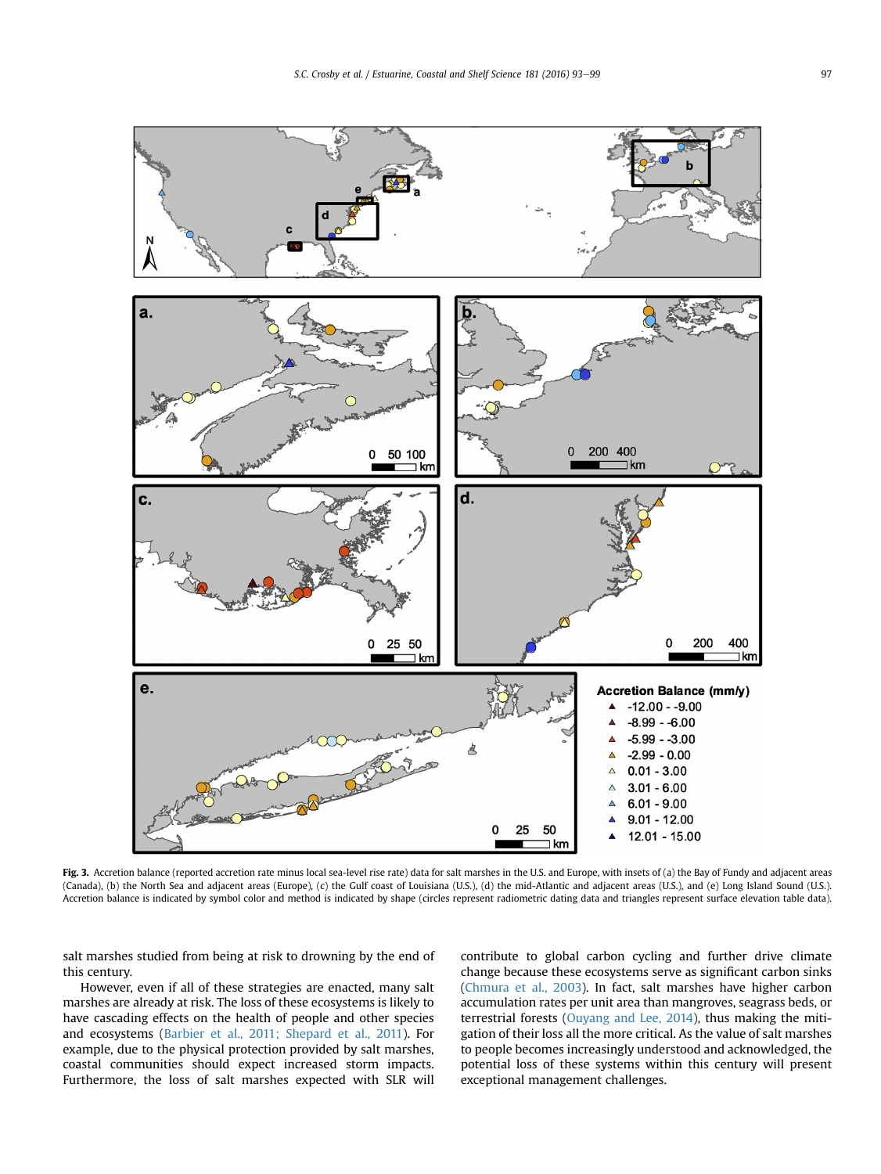<span id="page-4-0"></span>

Fig. 3. Accretion balance (reported accretion rate minus local sea-level rise rate) data for salt marshes in the U.S. and Europe, with insets of (a) the Bay of Fundy and adjacent areas (Canada), (b) the North Sea and adjacent areas (Europe), (c) the Gulf coast of Louisiana (U.S.), (d) the mid-Atlantic and adjacent areas (U.S.), and (e) Long Island Sound (U.S.). Accretion balance is indicated by symbol color and method is indicated by shape (circles represent radiometric dating data and triangles represent surface elevation table data).

salt marshes studied from being at risk to drowning by the end of this century.

However, even if all of these strategies are enacted, many salt marshes are already at risk. The loss of these ecosystems is likely to have cascading effects on the health of people and other species and ecosystems ([Barbier et al., 2011; Shepard et al., 2011](#page-5-0)). For example, due to the physical protection provided by salt marshes, coastal communities should expect increased storm impacts. Furthermore, the loss of salt marshes expected with SLR will

contribute to global carbon cycling and further drive climate change because these ecosystems serve as significant carbon sinks ([Chmura et al., 2003](#page-5-0)). In fact, salt marshes have higher carbon accumulation rates per unit area than mangroves, seagrass beds, or terrestrial forests [\(Ouyang and Lee, 2014\)](#page-5-0), thus making the mitigation of their loss all the more critical. As the value of salt marshes to people becomes increasingly understood and acknowledged, the potential loss of these systems within this century will present exceptional management challenges.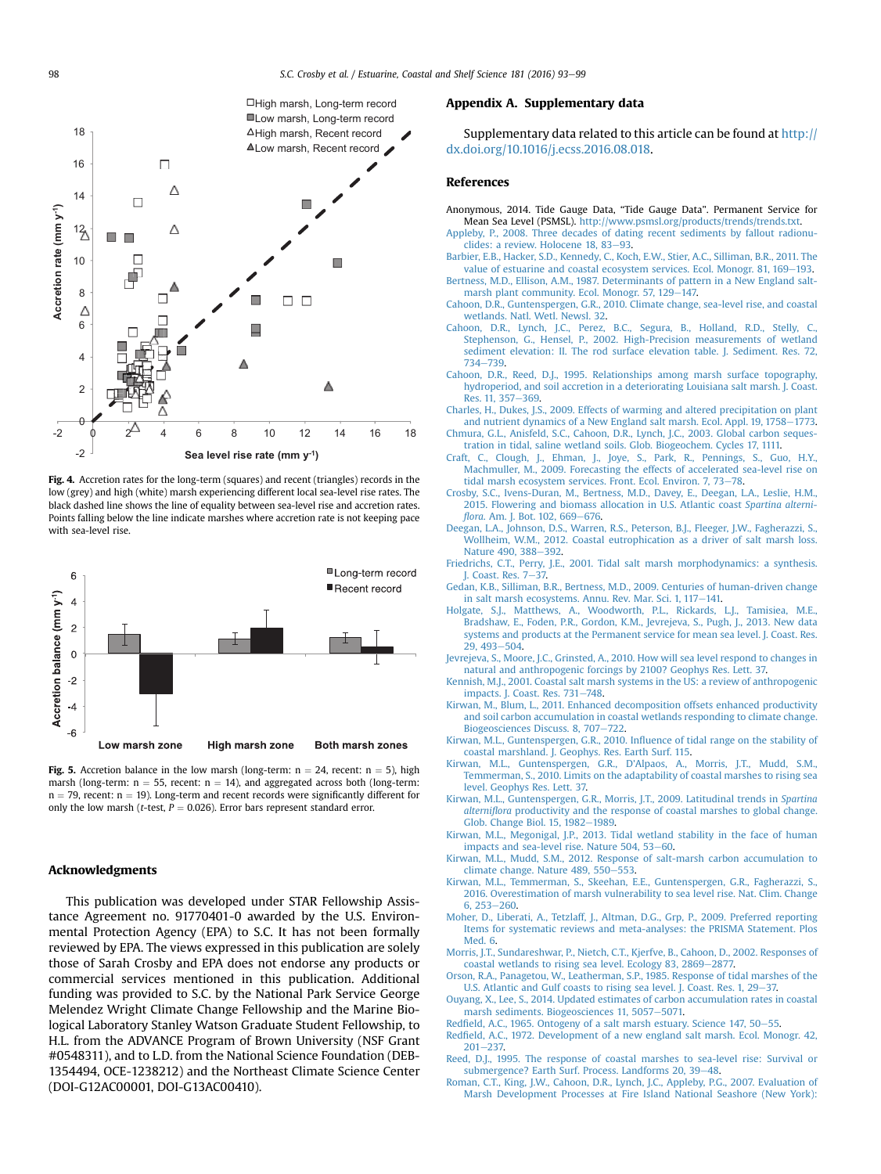<span id="page-5-0"></span>

Fig. 4. Accretion rates for the long-term (squares) and recent (triangles) records in the low (grey) and high (white) marsh experiencing different local sea-level rise rates. The black dashed line shows the line of equality between sea-level rise and accretion rates. Points falling below the line indicate marshes where accretion rate is not keeping pace with sea-level rise.



Fig. 5. Accretion balance in the low marsh (long-term:  $n = 24$ , recent:  $n = 5$ ), high marsh (long-term:  $n = 55$ , recent:  $n = 14$ ), and aggregated across both (long-term:  $n = 79$ , recent:  $n = 19$ ). Long-term and recent records were significantly different for only the low marsh (t-test,  $P = 0.026$ ). Error bars represent standard error.

#### Acknowledgments

This publication was developed under STAR Fellowship Assistance Agreement no. 91770401-0 awarded by the U.S. Environmental Protection Agency (EPA) to S.C. It has not been formally reviewed by EPA. The views expressed in this publication are solely those of Sarah Crosby and EPA does not endorse any products or commercial services mentioned in this publication. Additional funding was provided to S.C. by the National Park Service George Melendez Wright Climate Change Fellowship and the Marine Biological Laboratory Stanley Watson Graduate Student Fellowship, to H.L. from the ADVANCE Program of Brown University (NSF Grant #0548311), and to L.D. from the National Science Foundation (DEB-1354494, OCE-1238212) and the Northeast Climate Science Center (DOI-G12AC00001, DOI-G13AC00410).

## Appendix A. Supplementary data

Supplementary data related to this article can be found at [http://](http://dx.doi.org/10.1016/j.ecss.2016.08.018) [dx.doi.org/10.1016/j.ecss.2016.08.018.](http://dx.doi.org/10.1016/j.ecss.2016.08.018)

## References

- Anonymous, 2014. Tide Gauge Data, "Tide Gauge Data". Permanent Service for Mean Sea Level (PSMSL). <http://www.psmsl.org/products/trends/trends.txt>.
- [Appleby, P., 2008. Three decades of dating recent sediments by fallout radionu](http://refhub.elsevier.com/S0272-7714(16)30272-4/sref4)[clides: a review. Holocene 18, 83](http://refhub.elsevier.com/S0272-7714(16)30272-4/sref4)-[93.](http://refhub.elsevier.com/S0272-7714(16)30272-4/sref4)
- [Barbier, E.B., Hacker, S.D., Kennedy, C., Koch, E.W., Stier, A.C., Silliman, B.R., 2011. The](http://refhub.elsevier.com/S0272-7714(16)30272-4/sref6) [value of estuarine and coastal ecosystem services. Ecol. Monogr. 81, 169](http://refhub.elsevier.com/S0272-7714(16)30272-4/sref6)-[193](http://refhub.elsevier.com/S0272-7714(16)30272-4/sref6).
- [Bertness, M.D., Ellison, A.M., 1987. Determinants of pattern in a New England salt](http://refhub.elsevier.com/S0272-7714(16)30272-4/sref9)[marsh plant community. Ecol. Monogr. 57, 129](http://refhub.elsevier.com/S0272-7714(16)30272-4/sref9)-[147.](http://refhub.elsevier.com/S0272-7714(16)30272-4/sref9)
- [Cahoon, D.R., Guntenspergen, G.R., 2010. Climate change, sea-level rise, and coastal](http://refhub.elsevier.com/S0272-7714(16)30272-4/sref12) [wetlands. Natl. Wetl. Newsl. 32](http://refhub.elsevier.com/S0272-7714(16)30272-4/sref12).
- [Cahoon, D.R., Lynch, J.C., Perez, B.C., Segura, B., Holland, R.D., Stelly, C.,](http://refhub.elsevier.com/S0272-7714(16)30272-4/sref13) [Stephenson, G., Hensel, P., 2002. High-Precision measurements of wetland](http://refhub.elsevier.com/S0272-7714(16)30272-4/sref13) [sediment elevation: II. The rod surface elevation table. J. Sediment. Res. 72,](http://refhub.elsevier.com/S0272-7714(16)30272-4/sref13) [734](http://refhub.elsevier.com/S0272-7714(16)30272-4/sref13)-[739.](http://refhub.elsevier.com/S0272-7714(16)30272-4/sref13)
- [Cahoon, D.R., Reed, D.J., 1995. Relationships among marsh surface topography,](http://refhub.elsevier.com/S0272-7714(16)30272-4/sref15) [hydroperiod, and soil accretion in a deteriorating Louisiana salt marsh. J. Coast.](http://refhub.elsevier.com/S0272-7714(16)30272-4/sref15) [Res. 11, 357](http://refhub.elsevier.com/S0272-7714(16)30272-4/sref15)-369
- [Charles, H., Dukes, J.S., 2009. Effects of warming and altered precipitation on plant](http://refhub.elsevier.com/S0272-7714(16)30272-4/sref17) [and nutrient dynamics of a New England salt marsh. Ecol. Appl. 19, 1758](http://refhub.elsevier.com/S0272-7714(16)30272-4/sref17)-[1773](http://refhub.elsevier.com/S0272-7714(16)30272-4/sref17).
- [Chmura, G.L., Anisfeld, S.C., Cahoon, D.R., Lynch, J.C., 2003. Global carbon seques](http://refhub.elsevier.com/S0272-7714(16)30272-4/sref19)[tration in tidal, saline wetland soils. Glob. Biogeochem. Cycles 17, 1111.](http://refhub.elsevier.com/S0272-7714(16)30272-4/sref19)
- [Craft, C., Clough, J., Ehman, J., Joye, S., Park, R., Pennings, S., Guo, H.Y.,](http://refhub.elsevier.com/S0272-7714(16)30272-4/sref27) [Machmuller, M., 2009. Forecasting the effects of accelerated sea-level rise on](http://refhub.elsevier.com/S0272-7714(16)30272-4/sref27) [tidal marsh ecosystem services. Front. Ecol. Environ. 7, 73](http://refhub.elsevier.com/S0272-7714(16)30272-4/sref27)-[78](http://refhub.elsevier.com/S0272-7714(16)30272-4/sref27).
- [Crosby, S.C., Ivens-Duran, M., Bertness, M.D., Davey, E., Deegan, L.A., Leslie, H.M.,](http://refhub.elsevier.com/S0272-7714(16)30272-4/sref29) [2015. Flowering and biomass allocation in U.S. Atlantic coast](http://refhub.elsevier.com/S0272-7714(16)30272-4/sref29) Spartina alterni-flora[. Am. J. Bot. 102, 669](http://refhub.elsevier.com/S0272-7714(16)30272-4/sref29)-[676](http://refhub.elsevier.com/S0272-7714(16)30272-4/sref29).
- [Deegan, L.A., Johnson, D.S., Warren, R.S., Peterson, B.J., Fleeger, J.W., Fagherazzi, S.,](http://refhub.elsevier.com/S0272-7714(16)30272-4/sref31) [Wollheim, W.M., 2012. Coastal eutrophication as a driver of salt marsh loss.](http://refhub.elsevier.com/S0272-7714(16)30272-4/sref31) [Nature 490, 388](http://refhub.elsevier.com/S0272-7714(16)30272-4/sref31)-[392.](http://refhub.elsevier.com/S0272-7714(16)30272-4/sref31)
- [Friedrichs, C.T., Perry, J.E., 2001. Tidal salt marsh morphodynamics: a synthesis.](http://refhub.elsevier.com/S0272-7714(16)30272-4/sref37) [J. Coast. Res. 7](http://refhub.elsevier.com/S0272-7714(16)30272-4/sref37)-[37.](http://refhub.elsevier.com/S0272-7714(16)30272-4/sref37)
- [Gedan, K.B., Silliman, B.R., Bertness, M.D., 2009. Centuries of human-driven change](http://refhub.elsevier.com/S0272-7714(16)30272-4/sref38) in salt marsh ecosystems. Annu. Rev. Mar. Sci. 1,  $117-141$ .
- [Holgate, S.J., Matthews, A., Woodworth, P.L., Rickards, L.J., Tamisiea, M.E.,](http://refhub.elsevier.com/S0272-7714(16)30272-4/sref44) [Bradshaw, E., Foden, P.R., Gordon, K.M., Jevrejeva, S., Pugh, J., 2013. New data](http://refhub.elsevier.com/S0272-7714(16)30272-4/sref44) [systems and products at the Permanent service for mean sea level. J. Coast. Res.](http://refhub.elsevier.com/S0272-7714(16)30272-4/sref44)  $29,493 - 504$
- [Jevrejeva, S., Moore, J.C., Grinsted, A., 2010. How will sea level respond to changes in](http://refhub.elsevier.com/S0272-7714(16)30272-4/sref45) [natural and anthropogenic forcings by 2100? Geophys Res. Lett. 37.](http://refhub.elsevier.com/S0272-7714(16)30272-4/sref45)
- [Kennish, M.J., 2001. Coastal salt marsh systems in the US: a review of anthropogenic](http://refhub.elsevier.com/S0272-7714(16)30272-4/sref46) [impacts. J. Coast. Res. 731](http://refhub.elsevier.com/S0272-7714(16)30272-4/sref46)-[748](http://refhub.elsevier.com/S0272-7714(16)30272-4/sref46).
- [Kirwan, M., Blum, L., 2011. Enhanced decomposition offsets enhanced productivity](http://refhub.elsevier.com/S0272-7714(16)30272-4/sref48) [and soil carbon accumulation in coastal wetlands responding to climate change.](http://refhub.elsevier.com/S0272-7714(16)30272-4/sref48) [Biogeosciences Discuss. 8, 707](http://refhub.elsevier.com/S0272-7714(16)30272-4/sref48)-[722](http://refhub.elsevier.com/S0272-7714(16)30272-4/sref48).
- [Kirwan, M.L., Guntenspergen, G.R., 2010. In](http://refhub.elsevier.com/S0272-7714(16)30272-4/sref49)fluence of tidal range on the stability of
- [coastal marshland. J. Geophys. Res. Earth Surf. 115](http://refhub.elsevier.com/S0272-7714(16)30272-4/sref49). [Kirwan, M.L., Guntenspergen, G.R., D'Alpaos, A., Morris, J.T., Mudd, S.M.,](http://refhub.elsevier.com/S0272-7714(16)30272-4/sref50) [Temmerman, S., 2010. Limits on the adaptability of coastal marshes to rising sea](http://refhub.elsevier.com/S0272-7714(16)30272-4/sref50) [level. Geophys Res. Lett. 37.](http://refhub.elsevier.com/S0272-7714(16)30272-4/sref50)
- [Kirwan, M.L., Guntenspergen, G.R., Morris, J.T., 2009. Latitudinal trends in](http://refhub.elsevier.com/S0272-7714(16)30272-4/sref51) Spartina alterniflora [productivity and the response of coastal marshes to global change.](http://refhub.elsevier.com/S0272-7714(16)30272-4/sref51) [Glob. Change Biol. 15, 1982](http://refhub.elsevier.com/S0272-7714(16)30272-4/sref51)-[1989.](http://refhub.elsevier.com/S0272-7714(16)30272-4/sref51)
- [Kirwan, M.L., Megonigal, J.P., 2013. Tidal wetland stability in the face of human](http://refhub.elsevier.com/S0272-7714(16)30272-4/sref52) [impacts and sea-level rise. Nature 504, 53](http://refhub.elsevier.com/S0272-7714(16)30272-4/sref52)-[60](http://refhub.elsevier.com/S0272-7714(16)30272-4/sref52).
- [Kirwan, M.L., Mudd, S.M., 2012. Response of salt-marsh carbon accumulation to](http://refhub.elsevier.com/S0272-7714(16)30272-4/sref53) [climate change. Nature 489, 550](http://refhub.elsevier.com/S0272-7714(16)30272-4/sref53)-[553](http://refhub.elsevier.com/S0272-7714(16)30272-4/sref53).
- [Kirwan, M.L., Temmerman, S., Skeehan, E.E., Guntenspergen, G.R., Fagherazzi, S.,](http://refhub.elsevier.com/S0272-7714(16)30272-4/sref54) [2016. Overestimation of marsh vulnerability to sea level rise. Nat. Clim. Change](http://refhub.elsevier.com/S0272-7714(16)30272-4/sref54)  $6, 253 - 260$  $6, 253 - 260$  $6, 253 - 260$
- [Moher, D., Liberati, A., Tetzlaff, J., Altman, D.G., Grp, P., 2009. Preferred reporting](http://refhub.elsevier.com/S0272-7714(16)30272-4/sref58) [Items for systematic reviews and meta-analyses: the PRISMA Statement. Plos](http://refhub.elsevier.com/S0272-7714(16)30272-4/sref58) [Med. 6.](http://refhub.elsevier.com/S0272-7714(16)30272-4/sref58)
- [Morris, J.T., Sundareshwar, P., Nietch, C.T., Kjerfve, B., Cahoon, D., 2002. Responses of](http://refhub.elsevier.com/S0272-7714(16)30272-4/sref60) [coastal wetlands to rising sea level. Ecology 83, 2869](http://refhub.elsevier.com/S0272-7714(16)30272-4/sref60)-[2877.](http://refhub.elsevier.com/S0272-7714(16)30272-4/sref60)
- [Orson, R.A., Panagetou, W., Leatherman, S.P., 1985. Response of tidal marshes of the](http://refhub.elsevier.com/S0272-7714(16)30272-4/sref64) [U.S. Atlantic and Gulf coasts to rising sea level. J. Coast. Res. 1, 29](http://refhub.elsevier.com/S0272-7714(16)30272-4/sref64)-[37.](http://refhub.elsevier.com/S0272-7714(16)30272-4/sref64)
- [Ouyang, X., Lee, S., 2014. Updated estimates of carbon accumulation rates in coastal](http://refhub.elsevier.com/S0272-7714(16)30272-4/sref66) [marsh sediments. Biogeosciences 11, 5057](http://refhub.elsevier.com/S0272-7714(16)30272-4/sref66)-[5071.](http://refhub.elsevier.com/S0272-7714(16)30272-4/sref66)
- Redfi[eld, A.C., 1965. Ontogeny of a salt marsh estuary. Science 147, 50](http://refhub.elsevier.com/S0272-7714(16)30272-4/sref69)-[55](http://refhub.elsevier.com/S0272-7714(16)30272-4/sref69).
- Redfi[eld, A.C., 1972. Development of a new england salt marsh. Ecol. Monogr. 42,](http://refhub.elsevier.com/S0272-7714(16)30272-4/sref70)  $201 - 237$  $201 - 237$
- [Reed, D.J., 1995. The response of coastal marshes to sea-level rise: Survival or](http://refhub.elsevier.com/S0272-7714(16)30272-4/sref71) [submergence? Earth Surf. Process. Landforms 20, 39](http://refhub.elsevier.com/S0272-7714(16)30272-4/sref71)-[48](http://refhub.elsevier.com/S0272-7714(16)30272-4/sref71).
- [Roman, C.T., King, J.W., Cahoon, D.R., Lynch, J.C., Appleby, P.G., 2007. Evaluation of](http://refhub.elsevier.com/S0272-7714(16)30272-4/sref73) [Marsh Development Processes at Fire Island National Seashore \(New York\):](http://refhub.elsevier.com/S0272-7714(16)30272-4/sref73)